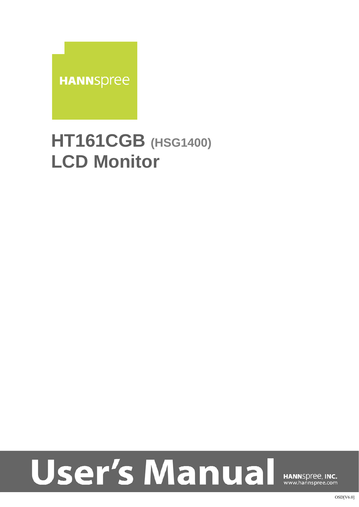

## **HT161CGB (HSG1400) LCD Monitor**

# **User's Manual**

HANNSpree, INC. www.hannspree.com

OSD[V6.0]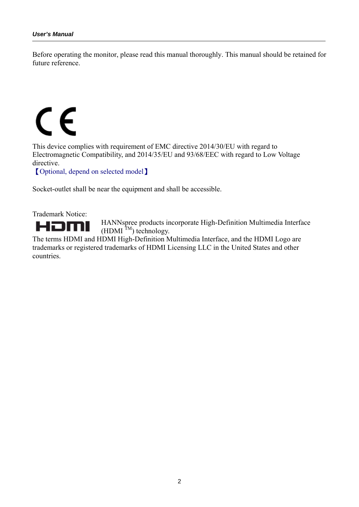Before operating the monitor, please read this manual thoroughly. This manual should be retained for future reference.

# C E

This device complies with requirement of EMC directive 2014/30/EU with regard to Electromagnetic Compatibility, and 2014/35/EU and 93/68/EEC with regard to Low Voltage directive.

【Optional, depend on selected model】

Socket-outlet shall be near the equipment and shall be accessible.

Trademark Notice:



HANNspree products incorporate High-Definition Multimedia Interface  $(HDMI^TM)$  technology.

The terms HDMI and HDMI High-Definition Multimedia Interface, and the HDMI Logo are trademarks or registered trademarks of HDMI Licensing LLC in the United States and other countries.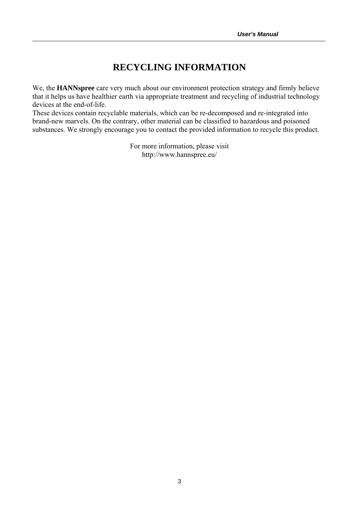#### **RECYCLING INFORMATION**

We, the **HANNspree** care very much about our environment protection strategy and firmly believe that it helps us have healthier earth via appropriate treatment and recycling of industrial technology devices at the end-of-life.

These devices contain recyclable materials, which can be re-decomposed and re-integrated into brand-new marvels. On the contrary, other material can be classified to hazardous and poisoned substances. We strongly encourage you to contact the provided information to recycle this product.

> For more information, please visit http://www.hannspree.eu/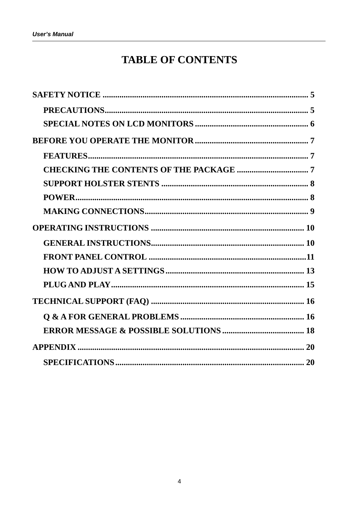### **TABLE OF CONTENTS**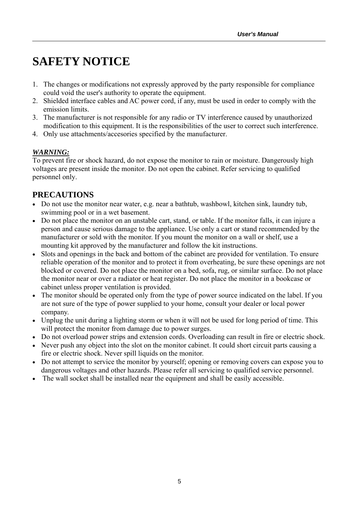## **SAFETY NOTICE**

- 1. The changes or modifications not expressly approved by the party responsible for compliance could void the user's authority to operate the equipment.
- 2. Shielded interface cables and AC power cord, if any, must be used in order to comply with the emission limits.
- 3. The manufacturer is not responsible for any radio or TV interference caused by unauthorized modification to this equipment. It is the responsibilities of the user to correct such interference.
- 4. Only use attachments/accesories specified by the manufacturer.

#### *WARNING:*

To prevent fire or shock hazard, do not expose the monitor to rain or moisture. Dangerously high voltages are present inside the monitor. Do not open the cabinet. Refer servicing to qualified personnel only.

#### **PRECAUTIONS**

- Do not use the monitor near water, e.g. near a bathtub, washbowl, kitchen sink, laundry tub, swimming pool or in a wet basement.
- Do not place the monitor on an unstable cart, stand, or table. If the monitor falls, it can injure a person and cause serious damage to the appliance. Use only a cart or stand recommended by the manufacturer or sold with the monitor. If you mount the monitor on a wall or shelf, use a mounting kit approved by the manufacturer and follow the kit instructions.
- Slots and openings in the back and bottom of the cabinet are provided for ventilation. To ensure reliable operation of the monitor and to protect it from overheating, be sure these openings are not blocked or covered. Do not place the monitor on a bed, sofa, rug, or similar surface. Do not place the monitor near or over a radiator or heat register. Do not place the monitor in a bookcase or cabinet unless proper ventilation is provided.
- The monitor should be operated only from the type of power source indicated on the label. If you are not sure of the type of power supplied to your home, consult your dealer or local power company.
- Unplug the unit during a lighting storm or when it will not be used for long period of time. This will protect the monitor from damage due to power surges.
- Do not overload power strips and extension cords. Overloading can result in fire or electric shock.
- Never push any object into the slot on the monitor cabinet. It could short circuit parts causing a fire or electric shock. Never spill liquids on the monitor.
- Do not attempt to service the monitor by yourself; opening or removing covers can expose you to dangerous voltages and other hazards. Please refer all servicing to qualified service personnel.
- The wall socket shall be installed near the equipment and shall be easily accessible.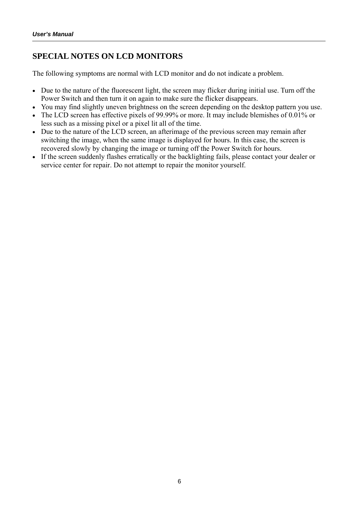#### **SPECIAL NOTES ON LCD MONITORS**

The following symptoms are normal with LCD monitor and do not indicate a problem.

- Due to the nature of the fluorescent light, the screen may flicker during initial use. Turn off the Power Switch and then turn it on again to make sure the flicker disappears.
- You may find slightly uneven brightness on the screen depending on the desktop pattern you use.
- The LCD screen has effective pixels of 99.99% or more. It may include blemishes of 0.01% or less such as a missing pixel or a pixel lit all of the time.
- Due to the nature of the LCD screen, an afterimage of the previous screen may remain after switching the image, when the same image is displayed for hours. In this case, the screen is recovered slowly by changing the image or turning off the Power Switch for hours.
- If the screen suddenly flashes erratically or the backlighting fails, please contact your dealer or service center for repair. Do not attempt to repair the monitor yourself.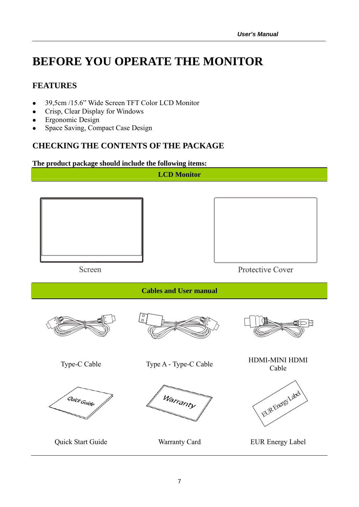## **BEFORE YOU OPERATE THE MONITOR**

#### **FEATURES**

- 39,5cm /15.6" Wide Screen TFT Color LCD Monitor
- Crisp, Clear Display for Windows
- Ergonomic Design
- Space Saving, Compact Case Design

#### **CHECKING THE CONTENTS OF THE PACKAGE**

#### **The product package should include the following items:**

**LCD Monitor** 



Protective Cover

**Cables and User manual** 

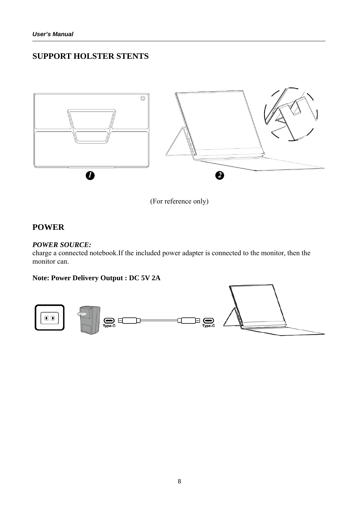#### **SUPPORT HOLSTER STENTS**



(For reference only)

#### **POWER**

#### *POWER SOURCE:*

charge a connected notebook.If the included power adapter is connected to the monitor, then the monitor can.

#### **Note: Power Delivery Output : DC 5V 2A**

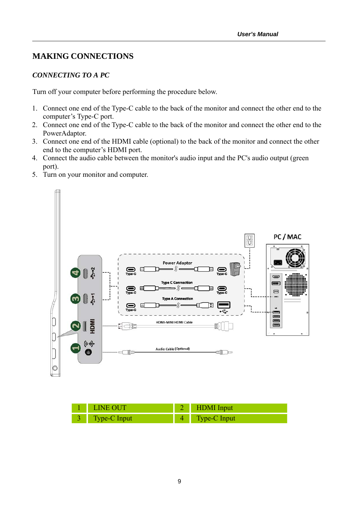#### **MAKING CONNECTIONS**

#### *CONNECTING TO A PC*

Turn off your computer before performing the procedure below.

- 1. Connect one end of the Type-C cable to the back of the monitor and connect the other end to the computer's Type-C port.
- 2. Connect one end of the Type-C cable to the back of the monitor and connect the other end to the PowerAdaptor.
- 3. Connect one end of the HDMI cable (optional) to the back of the monitor and connect the other end to the computer's HDMI port.
- 4. Connect the audio cable between the monitor's audio input and the PC's audio output (green port).
- 5. Turn on your monitor and computer.



| 1 LINE OUT     | 2 HDMI Input   |
|----------------|----------------|
| 3 Type-C Input | 4 Type-C Input |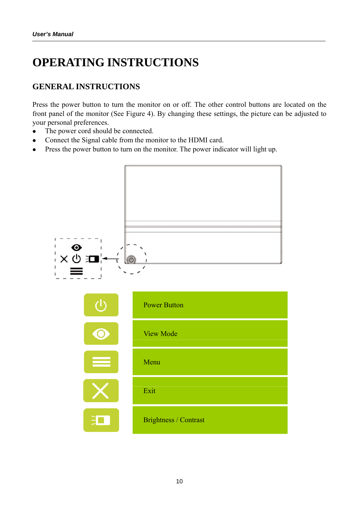## **OPERATING INSTRUCTIONS**

#### **GENERAL INSTRUCTIONS**

Press the power button to turn the monitor on or off. The other control buttons are located on the front panel of the monitor (See Figure 4). By changing these settings, the picture can be adjusted to your personal preferences.

- The power cord should be connected.
- Connect the Signal cable from the monitor to the HDMI card.
- Press the power button to turn on the monitor. The power indicator will light up.

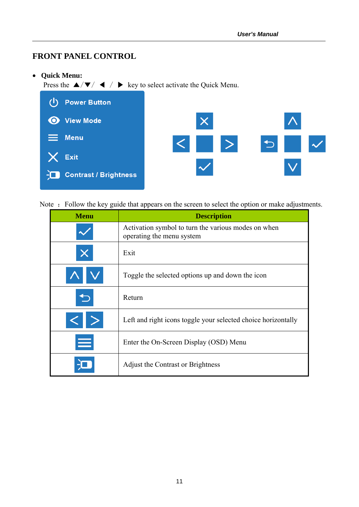#### **FRONT PANEL CONTROL**

**Quick Menu:** 

Press the  $\triangle/\blacktriangledown/\blacktriangleleft$  /  $\blacktriangleright$  key to select activate the Quick Menu.



Note : Follow the key guide that appears on the screen to select the option or make adjustments.

| <b>Menu</b> | <b>Description</b>                                                               |
|-------------|----------------------------------------------------------------------------------|
|             | Activation symbol to turn the various modes on when<br>operating the menu system |
|             | Exit                                                                             |
|             | Toggle the selected options up and down the icon                                 |
|             | Return                                                                           |
|             | Left and right icons toggle your selected choice horizontally                    |
| ≡           | Enter the On-Screen Display (OSD) Menu                                           |
|             | Adjust the Contrast or Brightness                                                |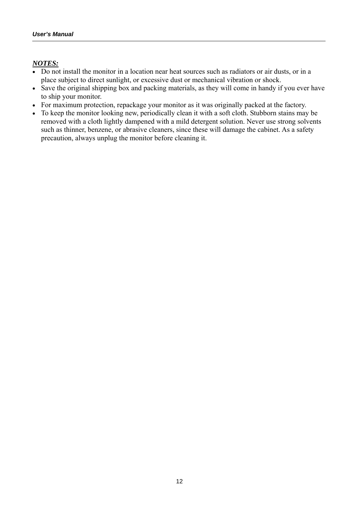#### *NOTES:*

- Do not install the monitor in a location near heat sources such as radiators or air dusts, or in a place subject to direct sunlight, or excessive dust or mechanical vibration or shock.
- Save the original shipping box and packing materials, as they will come in handy if you ever have to ship your monitor.
- For maximum protection, repackage your monitor as it was originally packed at the factory.
- To keep the monitor looking new, periodically clean it with a soft cloth. Stubborn stains may be removed with a cloth lightly dampened with a mild detergent solution. Never use strong solvents such as thinner, benzene, or abrasive cleaners, since these will damage the cabinet. As a safety precaution, always unplug the monitor before cleaning it.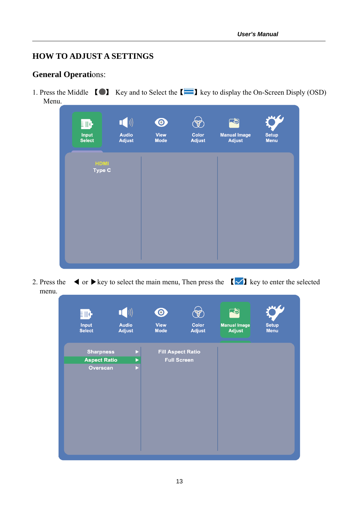#### **HOW TO ADJUST A SETTINGS**

#### **General Operations:**

1. Press the Middle  $\Box$  Key and to Select the  $\Box$  key to display the On-Screen Disply (OSD) Menu.

| 郦<br>Input<br><b>Select</b> | $\begin{pmatrix} 1 \\ 0 \\ 0 \end{pmatrix}$<br><b>Audio</b><br><b>Adjust</b> | $\odot$<br><b>View</b><br><b>Mode</b> | $\mathscr{C}$<br><b>Color</b><br><b>Adjust</b> | $\frac{1}{2}$<br><b>Manual Image</b><br><b>Adjust</b> | <b>Setup</b><br>Menu |
|-----------------------------|------------------------------------------------------------------------------|---------------------------------------|------------------------------------------------|-------------------------------------------------------|----------------------|
|                             | <b>HDMI</b><br><b>Type C</b>                                                 |                                       |                                                |                                                       |                      |
|                             |                                                                              |                                       |                                                |                                                       |                      |
|                             |                                                                              |                                       |                                                |                                                       |                      |

2. Press the  $\blacktriangleleft$  or  $\blacktriangleright$  key to select the main menu, Then press the  $\blacktriangleleft$   $\blacktriangleright$  key to enter the selected menu.

| 驷<br><b>Input</b><br><b>Select</b>      | $\begin{pmatrix} 1 \\ 0 \\ 0 \end{pmatrix}$<br><b>Audio</b><br><b>Adjust</b> | $\bullet$<br><b>View</b><br><b>Mode</b> | <b>Color</b><br><b>Adjust</b>                  | 「し<br><b>Manual Image</b><br><b>Adjust</b> | <b>Setup</b><br><b>Menu</b> |
|-----------------------------------------|------------------------------------------------------------------------------|-----------------------------------------|------------------------------------------------|--------------------------------------------|-----------------------------|
| <b>Sharpness</b><br><b>Aspect Ratio</b> | 2<br>▶                                                                       |                                         | <b>Fill Aspect Ratio</b><br><b>Full Screen</b> |                                            |                             |
| Overscan                                | Þ                                                                            |                                         |                                                |                                            |                             |
|                                         |                                                                              |                                         |                                                |                                            |                             |
|                                         |                                                                              |                                         |                                                |                                            |                             |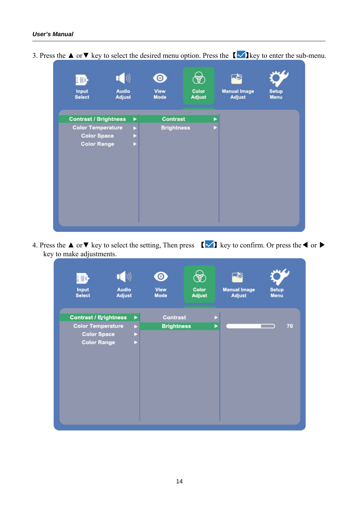| EMC-                                     | $\begin{pmatrix} 1 \\ 0 \\ 0 \end{pmatrix}$ |   | $\bf{O}$            | ⊛                      |   | -9                                   |                      |
|------------------------------------------|---------------------------------------------|---|---------------------|------------------------|---|--------------------------------------|----------------------|
| Input<br><b>Select</b>                   | <b>Audio</b><br><b>Adjust</b>               |   | View<br><b>Mode</b> | Color<br><b>Adjust</b> |   | <b>Manual Image</b><br><b>Adjust</b> | <b>Setup</b><br>Menu |
| <b>Contrast / Brightness</b>             |                                             | ▶ | <b>Contrast</b>     |                        | ▶ |                                      |                      |
| <b>Color Temperature</b>                 |                                             | Þ | <b>Brightness</b>   |                        |   |                                      |                      |
| <b>Color Space</b><br><b>Color Range</b> |                                             |   |                     |                        |   |                                      |                      |
|                                          |                                             |   |                     |                        |   |                                      |                      |
|                                          |                                             |   |                     |                        |   |                                      |                      |
|                                          |                                             |   |                     |                        |   |                                      |                      |

3. Press the **▲** or ▼ key to select the desired menu option. Press the  $\sqrt{\phantom{a}}\$ key to enter the sub-menu.

4. Press the  $\blacktriangle$  or  $\nabla$  key to select the setting, Then press  $\lfloor \blacktriangleleft \rfloor$  key to confirm. Or press the  $\blacktriangleleft$  or  $\blacktriangleright$ key to make adjustments.

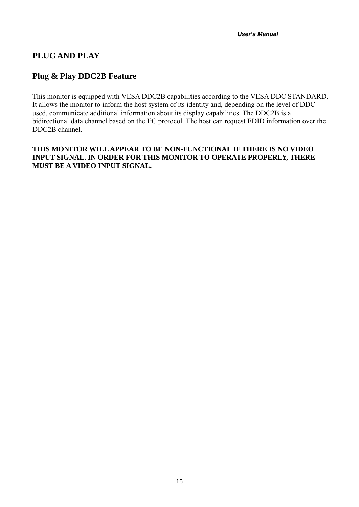#### **PLUG AND PLAY**

#### **Plug & Play DDC2B Feature**

This monitor is equipped with VESA DDC2B capabilities according to the VESA DDC STANDARD. It allows the monitor to inform the host system of its identity and, depending on the level of DDC used, communicate additional information about its display capabilities. The DDC2B is a bidirectional data channel based on the I²C protocol. The host can request EDID information over the DDC2B channel.

#### **THIS MONITOR WILL APPEAR TO BE NON-FUNCTIONAL IF THERE IS NO VIDEO INPUT SIGNAL. IN ORDER FOR THIS MONITOR TO OPERATE PROPERLY, THERE MUST BE A VIDEO INPUT SIGNAL.**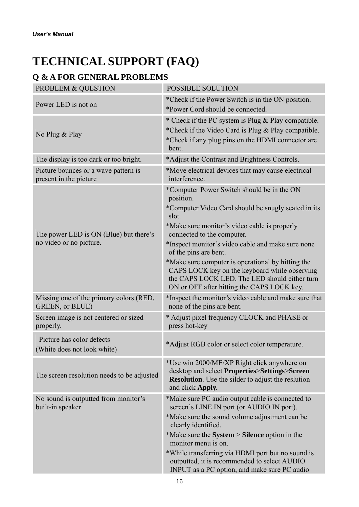## **TECHNICAL SUPPORT (FAQ)**

### **Q & A FOR GENERAL PROBLEMS**

| <b>PROBLEM &amp; QUESTION</b>                                     | <b>POSSIBLE SOLUTION</b>                                                                                                                                                                                                                                                                                                                                                                                                                                                                 |
|-------------------------------------------------------------------|------------------------------------------------------------------------------------------------------------------------------------------------------------------------------------------------------------------------------------------------------------------------------------------------------------------------------------------------------------------------------------------------------------------------------------------------------------------------------------------|
| Power LED is not on                                               | *Check if the Power Switch is in the ON position.<br>*Power Cord should be connected.                                                                                                                                                                                                                                                                                                                                                                                                    |
| No Plug & Play                                                    | * Check if the PC system is Plug & Play compatible.<br>*Check if the Video Card is Plug & Play compatible.<br>*Check if any plug pins on the HDMI connector are<br>bent.                                                                                                                                                                                                                                                                                                                 |
| The display is too dark or too bright.                            | *Adjust the Contrast and Brightness Controls.                                                                                                                                                                                                                                                                                                                                                                                                                                            |
| Picture bounces or a wave pattern is<br>present in the picture    | *Move electrical devices that may cause electrical<br>interference.                                                                                                                                                                                                                                                                                                                                                                                                                      |
| The power LED is ON (Blue) but there's<br>no video or no picture. | *Computer Power Switch should be in the ON<br>position.<br>*Computer Video Card should be snugly seated in its<br>slot.<br>*Make sure monitor's video cable is properly<br>connected to the computer.<br>*Inspect monitor's video cable and make sure none<br>of the pins are bent.<br>*Make sure computer is operational by hitting the<br>CAPS LOCK key on the keyboard while observing<br>the CAPS LOCK LED. The LED should either turn<br>ON or OFF after hitting the CAPS LOCK key. |
| Missing one of the primary colors (RED,<br>GREEN, or BLUE)        | *Inspect the monitor's video cable and make sure that<br>none of the pins are bent.                                                                                                                                                                                                                                                                                                                                                                                                      |
| Screen image is not centered or sized<br>properly.                | * Adjust pixel frequency CLOCK and PHASE or<br>press hot-key                                                                                                                                                                                                                                                                                                                                                                                                                             |
| Picture has color defects<br>(White does not look white)          | *Adjust RGB color or select color temperature.                                                                                                                                                                                                                                                                                                                                                                                                                                           |
| The screen resolution needs to be adjusted                        | *Use win 2000/ME/XP Right click anywhere on<br>desktop and select Properties>Settings>Screen<br><b>Resolution</b> . Use the silder to adjust the reslution<br>and click Apply.                                                                                                                                                                                                                                                                                                           |
| No sound is outputted from monitor's<br>built-in speaker          | *Make sure PC audio output cable is connected to<br>screen's LINE IN port (or AUDIO IN port).<br>*Make sure the sound volume adjustment can be<br>clearly identified.<br>*Make sure the System > Silence option in the<br>monitor menu is on.<br>*While transferring via HDMI port but no sound is<br>outputted, it is recommended to select AUDIO<br>INPUT as a PC option, and make sure PC audio                                                                                       |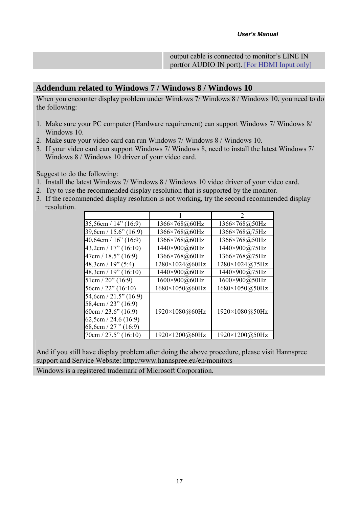output cable is connected to monitor's LINE IN port(or AUDIO IN port). [For HDMI Input only]

#### **Addendum related to Windows 7 / Windows 8 / Windows 10**

When you encounter display problem under Windows 7/ Windows 8 / Windows 10, you need to do the following:

- 1. Make sure your PC computer (Hardware requirement) can support Windows 7/ Windows 8/ Windows 10.
- 2. Make sure your video card can run Windows 7/ Windows 8 / Windows 10.
- 3. If your video card can support Windows 7/ Windows 8, need to install the latest Windows 7/ Windows 8 / Windows 10 driver of your video card.

Suggest to do the following:

- 1. Install the latest Windows 7/ Windows 8 / Windows 10 video driver of your video card.
- 2. Try to use the recommended display resolution that is supported by the monitor.
- 3. If the recommended display resolution is not working, try the second recommended display resolution.

| $35,56$ cm / 14" (16:9)                                                   | 1366×768@60Hz            | 1366×768@50Hz             |
|---------------------------------------------------------------------------|--------------------------|---------------------------|
| 39,6cm / 15.6" (16:9)                                                     | 1366×768@60Hz            | 1366×768@75Hz             |
| $40,64$ cm / $16$ " (16:9)                                                | 1366×768@60Hz            | 1366×768@50Hz             |
| $43,2$ cm / 17" (16:10)                                                   | 1440×900@60Hz            | 1440×900@75Hz             |
| 47cm / 18.5" (16:9)                                                       | 1366×768@60Hz            | $1366 \times 768 @ 75 Hz$ |
| 48,3cm / 19" (5:4)                                                        | $1280 \times 1024$ @60Hz | $1280 \times 1024$ @ 75Hz |
| $48,3$ cm / 19" (16:10)                                                   | 1440×900@60Hz            | 1440×900@75Hz             |
| $51 \text{cm} / 20$ " (16:9)                                              | 1600×900@60Hz            | 1600×900@50Hz             |
| $56cm / 22$ " (16:10)                                                     | 1680×1050@60Hz           | 1680×1050@50Hz            |
| $54,6cm / 21.5$ " (16:9)<br>58,4cm / 23" (16:9)<br>$60cm / 23.6$ " (16:9) | 1920×1080@60Hz           | 1920×1080@50Hz            |
| 62,5cm / 24.6(16.9)<br>68,6cm / 27" $(16.9)$                              |                          |                           |
| $70cm / 27.5$ " (16:10)                                                   | 1920×1200@60Hz           | 1920×1200@50Hz            |

And if you still have display problem after doing the above procedure, please visit Hannspree support and Service Website: http://www.hannspree.eu/en/monitors

Windows is a registered trademark of Microsoft Corporation.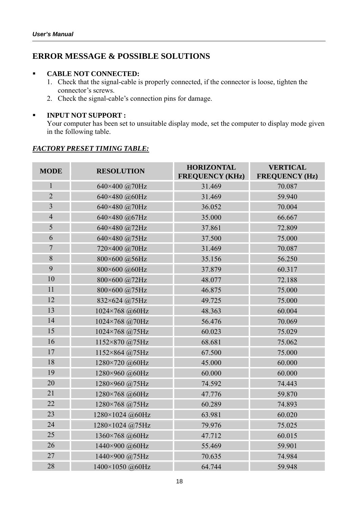#### **ERROR MESSAGE & POSSIBLE SOLUTIONS**

#### **CABLE NOT CONNECTED:**

- 1. Check that the signal-cable is properly connected, if the connector is loose, tighten the connector's screws.
- 2. Check the signal-cable's connection pins for damage.

#### **INPUT NOT SUPPORT :**

Your computer has been set to unsuitable display mode, set the computer to display mode given in the following table.

#### **MODE RESOLUTION HORIZONTAL FREQUENCY (KHz) VERTICAL FREQUENCY (Hz)**  1 640×400 @70Hz 31.469 70.087 2 640×480 @60Hz 31.469 59.940 3 640×480 @70Hz 36.052 70.004 4 640×480 @67Hz 35.000 66.667 5 640×480 @72Hz 37.861 72.809 6 640×480 @75Hz 37.500 37.500 75.000 7 720×400 @70Hz 31.469 70.087 8 800×600 @56Hz 35.156 56.250 9 800×600 @60Hz 37.879 60.317 10 800×600 @72Hz 48.077 48.077 72.188 11 800×600 @75Hz 46.875 75.000  $12 \t\t 832 \times 624 \t\t 275$  49.725 75.000 13 1024×768 @60Hz 48.363 60.004 14 1024×768 @70Hz 56.476 56.476 70.069 15 1024×768 @75Hz 60.023 75.029 16 1152×870 @75Hz 68.681 75.062 17 1152×864 @75Hz 67.500 75.000 18 1280×720 @60Hz 45.000 45.000 60.000 19 1280×960  $@60Hz$  60.000 60.000 60.000 20 1280×960 @75Hz 74.592 74.443 21 1280×768 @60Hz 47.776 59.870 22 1280×768 @75Hz 60.289 13893 23 1280×1024 @60Hz 63.981 60.020 24 1280×1024 @75Hz 79.976 75.025 25 1360×768 @60Hz 47.712 60.015 26 1440×900 @60Hz 55.469 59.901 27 1440×900 @75Hz 70.635 74.984

#### *FACTORY PRESET TIMING TABLE:*

28 1400×1050 @60Hz 64.744 59.948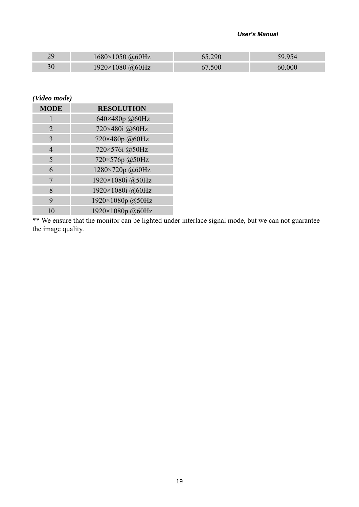#### *User's Manual*

| 29 | $1680\times1050$ @60Hz   | .290 | 59.954 |
|----|--------------------------|------|--------|
| 30 | $1920 \times 1080$ @60Hz | .500 | 60.000 |

#### *(Video mode)*

| <b>MODE</b> | <b>RESOLUTION</b> |
|-------------|-------------------|
|             | 640×480p @60Hz    |
| 2           | 720×480i @60Hz    |
| 3           | 720×480p@60Hz     |
| 4           | 720×576i @50Hz    |
| 5           | 720×576p @50Hz    |
| 6           | 1280×720p @60Hz   |
| 7           | 1920×1080i @50Hz  |
| 8           | 1920×1080i @60Hz  |
| 9           | 1920×1080p @50Hz  |
| 10          | 1920×1080p @60Hz  |

\*\* We ensure that the monitor can be lighted under interlace signal mode, but we can not guarantee the image quality.